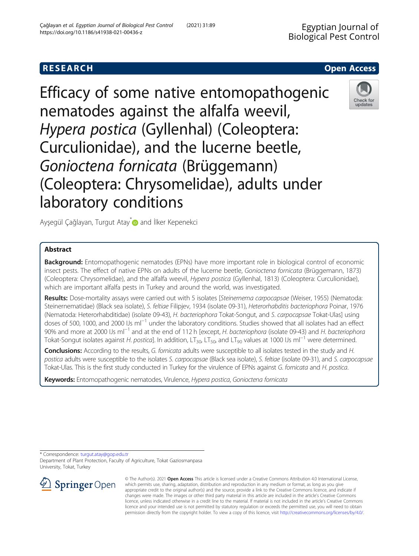# **RESEARCH CHEAR CHEAR CHEAR CHEAR CHEAR CHEAR CHEAR CHEAR CHEAR CHEAR CHEAR CHEAR CHEAR CHEAR CHEAR CHEAR CHEAR**

Efficacy of some native entomopathogenic nematodes against the alfalfa weevil, Hypera postica (Gyllenhal) (Coleoptera: Curculionidae), and the lucerne beetle, Gonioctena fornicata (Brüggemann) (Coleoptera: Chrysomelidae), adults under laboratory conditions



Ayşegül Çağlayan, Turgut Atay D and İlker Kepenekci

## Abstract

**Background:** Entomopathogenic nematodes (EPNs) have more important role in biological control of economic insect pests. The effect of native EPNs on adults of the lucerne beetle, Gonioctena fornicata (Brüggemann, 1873) (Coleoptera: Chrysomelidae), and the alfalfa weevil, Hypera postica (Gyllenhal, 1813) (Coleoptera: Curculionidae), which are important alfalfa pests in Turkey and around the world, was investigated.

Results: Dose-mortality assays were carried out with 5 isolates [Steinernema carpocapsae (Weiser, 1955) (Nematoda: Steinernematidae) (Black sea isolate), S. feltiae Filipjev, 1934 (isolate 09-31), Heterorhabditis bacteriophora Poinar, 1976 (Nematoda: Heterorhabditidae) (isolate 09-43), H. bacteriophora Tokat-Songut, and S. carpocapsae Tokat-Ulas] using doses of 500, 1000, and 2000 IJs ml<sup>-1</sup> under the laboratory conditions. Studies showed that all isolates had an effect 90% and more at 2000 IJs ml<sup>-1</sup> and at the end of 112 h [except, H. bacteriophora (isolate 09-43) and H. bacteriophora Tokat-Songut isolates against H. postica]. In addition, LT<sub>30</sub>, LT<sub>50</sub>, and LT<sub>90</sub> values at 1000 IJs ml<sup>-1</sup> were determined.

Conclusions: According to the results, G. fornicata adults were susceptible to all isolates tested in the study and H. postica adults were susceptible to the isolates S. carpocapsae (Black sea isolate), S. feltiae (isolate 09-31), and S. carpocapsae Tokat-Ulas. This is the first study conducted in Turkey for the virulence of EPNs against G. fornicata and H. postica.

Keywords: Entomopathogenic nematodes, Virulence, Hypera postica, Gonioctena fornicata

\* Correspondence: [turgut.atay@gop.edu.tr](mailto:turgut.atay@gop.edu.tr)

Department of Plant Protection, Faculty of Agriculture, Tokat Gaziosmanpasa University, Tokat, Turkey



© The Author(s). 2021 Open Access This article is licensed under a Creative Commons Attribution 4.0 International License, which permits use, sharing, adaptation, distribution and reproduction in any medium or format, as long as you give appropriate credit to the original author(s) and the source, provide a link to the Creative Commons licence, and indicate if changes were made. The images or other third party material in this article are included in the article's Creative Commons licence, unless indicated otherwise in a credit line to the material. If material is not included in the article's Creative Commons licence and your intended use is not permitted by statutory regulation or exceeds the permitted use, you will need to obtain permission directly from the copyright holder. To view a copy of this licence, visit <http://creativecommons.org/licenses/by/4.0/>.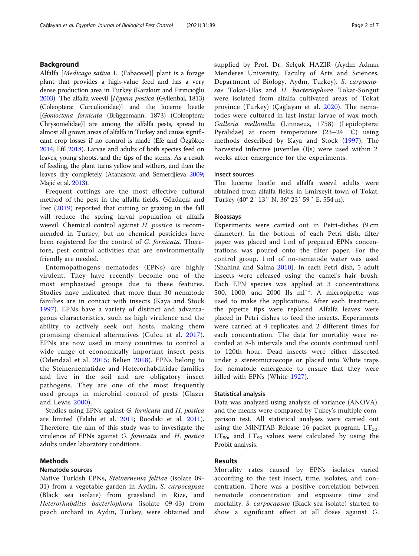### Background

Alfalfa [Medicago sativa L. (Fabaceae)] plant is a forage plant that provides a high-value feed and has a very dense production area in Turkey (Karakurt and Fırıncıoğlu [2003\)](#page-6-0). The alfalfa weevil [Hypera postica (Gyllenhal, 1813) (Coleoptera: Curculionidae)] and the lucerne beetle [Gonioctena fornicata (Brüggemann, 1873) (Coleoptera: Chrysomelidae)] are among the alfalfa pests, spread to almost all grown areas of alfalfa in Turkey and cause significant crop losses if no control is made (Efe and Özgökçe [2014;](#page-6-0) Efil [2018\)](#page-6-0). Larvae and adults of both species feed on leaves, young shoots, and the tips of the stems. As a result of feeding, the plant turns yellow and withers, and then the leaves dry completely (Atanasova and Semerdjieva [2009](#page-6-0); Majić et al. [2013](#page-6-0)).

Frequent cuttings are the most effective cultural method of the pest in the alfalfa fields. Gözüaçık and İreç ([2019](#page-6-0)) reported that cutting or grazing in the fall will reduce the spring larval population of alfalfa weevil. Chemical control against H. postica is recommended in Turkey, but no chemical pesticides have been registered for the control of G. fornicata. Therefore, pest control activities that are environmentally friendly are needed.

Entomopathogens nematodes (EPNs) are highly virulent. They have recently become one of the most emphasized groups due to these features. Studies have indicated that more than 30 nematode families are in contact with insects (Kaya and Stock [1997](#page-6-0)). EPNs have a variety of distinct and advantageous characteristics, such as high virulence and the ability to actively seek out hosts, making them promising chemical alternatives (Gulcu et al. [2017\)](#page-6-0). EPNs are now used in many countries to control a wide range of economically important insect pests (Odendaal et al. [2015;](#page-6-0) Belien [2018](#page-6-0)). EPNs belong to the Steinernematidae and Heterorhabditidae families and live in the soil and are obligatory insect pathogens. They are one of the most frequently used groups in microbial control of pests (Glazer and Lewis [2000](#page-6-0)).

Studies using EPNs against G. fornicata and H. postica are limited (Falahi et al. [2011](#page-6-0); Roodaki et al. [2011](#page-6-0)). Therefore, the aim of this study was to investigate the virulence of EPNs against G. fornicata and H. postica adults under laboratory conditions.

#### Methods

#### Nematode sources

Native Turkish EPNs, Steinernema feltiae (isolate 09- 31) from a vegetable garden in Aydin, S. carpocapsae (Black sea isolate) from grassland in Rize, and Heterorhabditis bacteriophora (isolate 09-43) from peach orchard in Aydın, Turkey, were obtained and supplied by Prof. Dr. Selçuk HAZIR (Aydın Adnan Menderes University, Faculty of Arts and Sciences, Department of Biology, Aydın, Turkey). S. carpocapsae Tokat-Ulas and H. bacteriophora Tokat-Songut were isolated from alfalfa cultivated areas of Tokat province (Turkey) (Çağlayan et al. [2020](#page-6-0)). The nematodes were cultured in last instar larvae of wax moth, Galleria mellonella (Linnaeus, 1758) (Lepidoptera: Pyralidae) at room temperature (23–24 °C) using methods described by Kaya and Stock ([1997](#page-6-0)). The harvested infective juveniles (IJs) were used within 2 weeks after emergence for the experiments.

#### Insect sources

The lucerne beetle and alfalfa weevil adults were obtained from alfalfa fields in Emirseyit town of Tokat, Turkey (40° 2′ 13″ N, 36° 23′ 59″ E, 554 m).

#### Bioassays

Experiments were carried out in Petri-dishes (9 cm diameter). In the bottom of each Petri dish, filter paper was placed and 1 ml of prepared EPNs concentrations was poured onto the filter paper. For the control group, 1 ml of no-nematode water was used (Shahina and Salma [2010](#page-6-0)). In each Petri dish, 5 adult insects were released using the camel's hair brush. Each EPN species was applied at 3 concentrations 500, 1000, and 2000 IJs ml−<sup>1</sup> . A micropipette was used to make the applications. After each treatment, the pipette tips were replaced. Alfalfa leaves were placed in Petri dishes to feed the insects. Experiments were carried at 4 replicates and 2 different times for each concentration. The data for mortality were recorded at 8-h intervals and the counts continued until to 120th hour. Dead insects were either dissected under a stereomicroscope or placed into White traps for nematode emergence to ensure that they were killed with EPNs (White [1927](#page-6-0)).

#### Statistical analysis

Data was analyzed using analysis of variance (ANOVA), and the means were compared by Tukey's multiple comparison test. All statistical analyses were carried out using the MINITAB Release 16 packet program.  $LT_{30}$ ,  $LT_{50}$ , and  $LT_{90}$  values were calculated by using the Probit analysis.

#### Results

Mortality rates caused by EPNs isolates varied according to the test insect, time, isolates, and concentration. There was a positive correlation between nematode concentration and exposure time and mortality. S. *carpocapsae* (Black sea isolate) started to show a significant effect at all doses against G.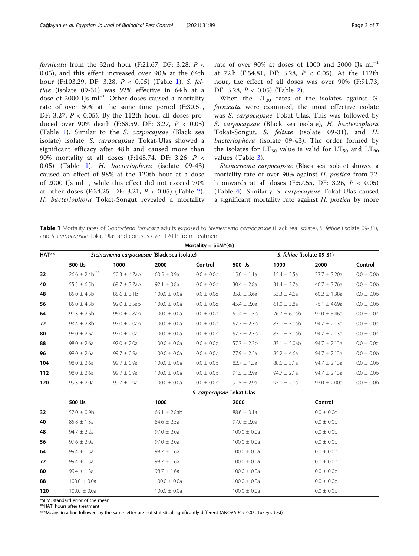fornicata from the 32nd hour (F:21.67, DF: 3.28,  $P <$ 0.05), and this effect increased over 90% at the 64th hour (F:103.29, DF: 3.28, P < 0.05) (Table 1). S. feltiae (isolate 09-31) was 92% effective in 64h at a dose of 2000 IJs ml−<sup>1</sup> . Other doses caused a mortality rate of over 50% at the same time period (F:30.51, DF: 3.27,  $P < 0.05$ ). By the 112th hour, all doses produced over 90% death (F:68.59, DF: 3.27, P < 0.05) (Table 1). Similar to the S. carpocapsae (Black sea isolate) isolate, S. carpocapsae Tokat-Ulas showed a significant efficacy after 48 h and caused more than 90% mortality at all doses (F:148.74, DF: 3.26, P < 0.05) (Table 1). H. bacteriophora (isolate 09-43) caused an effect of 98% at the 120th hour at a dose of 2000 IJs ml−<sup>1</sup> , while this effect did not exceed 70% at other doses (F:34.25, DF: 3.21, P < 0.05) (Table [2](#page-3-0)). H. bacteriophora Tokat-Songut revealed a mortality

rate of over 90% at doses of 1000 and 2000 IJs  $ml^{-1}$ at 72 h (F:54.81, DF: 3.28, P < 0.05). At the 112th hour, the effect of all doses was over 90% (F:91.73, DF: 3.28, P < 0.05) (Table [2\)](#page-3-0).

When the  $LT_{30}$  rates of the isolates against G. fornicata were examined, the most effective isolate was S. carpocapsae Tokat-Ulas. This was followed by S. carpocapsae (Black sea isolate), H. bacteriophora Tokat-Songut, S. feltiae (isolate 09-31), and H. bacteriophora (isolate 09-43). The order formed by the isolates for  $LT_{30}$  value is valid for  $LT_{50}$  and  $LT_{90}$ values (Table [3\)](#page-3-0).

Steinernema carpocapsae (Black sea isolate) showed a mortality rate of over 90% against H. postica from 72 h onwards at all doses (F:57.55, DF: 3.26,  $P < 0.05$ ) (Table [4\)](#page-4-0). Similarly, S. carpocapsae Tokat-Ulas caused a significant mortality rate against H. postica by more

Table 1 Mortality rates of Gonioctena fornicata adults exposed to Steinernema carpocapsae (Black sea isolate), S. feltiae (isolate 09-31), and S. carpocapsae Tokat-Ulas and controls over 120 h from treatment

| Mortality $\pm$ SEM*(%) |                       |                                             |                  |                           |                  |                            |                  |                |  |
|-------------------------|-----------------------|---------------------------------------------|------------------|---------------------------|------------------|----------------------------|------------------|----------------|--|
| HAT**                   |                       | Steinernema carpocapsae (Black sea isolate) |                  |                           |                  | S. feltiae (isolate 09-31) |                  |                |  |
|                         | 500 IJs               | 1000                                        | 2000             | Control                   | 500 IJs          | 1000                       | 2000             | Control        |  |
| 32                      | $26.6 \pm 2.4b^{***}$ | $50.3 \pm 4.7ab$                            | $60.5 \pm 0.9a$  | $0.0 \pm 0.0c$            | $15.0 \pm 1.1a'$ | $15.4 \pm 2.5a$            | $33.7 \pm 3.20a$ | $0.0 \pm 0.0$  |  |
| 40                      | $55.3 \pm 6.5b$       | $68.7 \pm 3.7ab$                            | 92.1 $\pm$ 3.8a  | $0.0 \pm 0.0c$            | $30.4 \pm 2.8a$  | $31.4 \pm 3.7a$            | $46.7 \pm 3.76a$ | $0.0 \pm 0.0$  |  |
| 48                      | $85.0 \pm 4.3b$       | $88.6 \pm 3.1b$                             | $100.0 \pm 0.0a$ | $0.0 \pm 0.0c$            | $35.8 \pm 3.6a$  | $53.3 \pm 4.6a$            | $60.2 \pm 1.38a$ | $0.0 \pm 0.0$  |  |
| 56                      | $85.0 \pm 4.3b$       | $92.0 \pm 3.5ab$                            | $100.0 \pm 0.0a$ | $0.0 \pm 0.0c$            | $45.4 \pm 2.0a$  | $61.0 \pm 3.8a$            | 76.1 $\pm$ 4.69a | $0.0 \pm 0.0$  |  |
| 64                      | $90.3 \pm 2.6$ b      | $96.0 \pm 2.8$ ab                           | $100.0 \pm 0.0a$ | $0.0 \pm 0.0c$            | $51.4 \pm 1.5b$  | $76.7 \pm 6.0ab$           | $92.0 \pm 3.46a$ | $0.0 \pm 0.0c$ |  |
| 72                      | $93.4 \pm 2.8$ b      | $97.0 \pm 2.0$ ab                           | $100.0 \pm 0.0a$ | $0.0 \pm 0.0c$            | $57.7 \pm 2.3b$  | $83.1 \pm 5.0ab$           | $94.7 \pm 2.13a$ | $0.0 \pm 0.0c$ |  |
| 80                      | $98.0 \pm 2.6a$       | $97.0 \pm 2.0a$                             | $100.0 \pm 0.0a$ | $0.0 \pm 0.0$             | $57.7 \pm 2.3b$  | $83.1 \pm 5.0ab$           | $94.7 \pm 2.13a$ | $0.0 \pm 0.0c$ |  |
| 88                      | $98.0 \pm 2.6a$       | $97.0 \pm 2.0a$                             | $100.0 \pm 0.0a$ | $0.0 \pm 0.0$             | $57.7 \pm 2.3b$  | $83.1 \pm 5.0ab$           | $94.7 \pm 2.13a$ | $0.0 \pm 0.0c$ |  |
| 96                      | $98.0 \pm 2.6a$       | $99.7 \pm 0.9a$                             | $100.0 \pm 0.0a$ | $0.0 \pm 0.0$             | $77.9 \pm 2.5a$  | $85.2 \pm 4.6a$            | $94.7 \pm 2.13a$ | $0.0 \pm 0.0$  |  |
| 104                     | $98.0 \pm 2.6a$       | $99.7 \pm 0.9a$                             | $100.0 \pm 0.0a$ | $0.0 \pm 0.0$             | $82.7 \pm 1.5a$  | $88.6 \pm 3.1a$            | $94.7 \pm 2.13a$ | $0.0 \pm 0.0$  |  |
| 112                     | $98.0 \pm 2.6a$       | $99.7 \pm 0.9a$                             | $100.0 \pm 0.0a$ | $0.0 \pm 0.0$             | $91.5 \pm 2.9a$  | $94.7 \pm 2.1a$            | $94.7 \pm 2.13a$ | $0.0 \pm 0.0$  |  |
| 120                     | $99.3 \pm 2.0a$       | $99.7 \pm 0.9a$                             | $100.0 \pm 0.0a$ | $0.0 \pm 0.0$             | $91.5 \pm 2.9a$  | $97.0 \pm 2.0a$            | $97.0 \pm 2.00a$ | $0.0 \pm 0.0$  |  |
|                         |                       |                                             |                  | S. carpocapsae Tokat-Ulas |                  |                            |                  |                |  |
|                         | 500 IJs               |                                             | 1000             |                           | 2000             |                            | Control          |                |  |
| 32                      | $57.0 \pm 0.9b$       |                                             | 66.1 $\pm$ 2.8ab |                           | $88.6 \pm 3.1a$  |                            | $0.0 \pm 0.0c$   |                |  |
| 40                      | $85.8 \pm 1.3a$       |                                             | $84.6 \pm 2.5a$  |                           | $97.0 \pm 2.0a$  |                            | $0.0 \pm 0.0$    |                |  |
| 48                      | $94.7 \pm 2.2a$       |                                             | $97.0 \pm 2.0a$  |                           | $100.0 \pm 0.0a$ |                            | $0.0 \pm 0.0$    |                |  |
| 56                      | $97.6 \pm 2.0a$       |                                             | $97.0 \pm 2.0a$  |                           | $100.0 \pm 0.0a$ |                            | $0.0 \pm 0.0$    |                |  |
| 64                      | $99.4 \pm 1.3a$       |                                             | $98.7 \pm 1.6a$  |                           | $100.0 \pm 0.0a$ |                            | $0.0 \pm 0.0$    |                |  |
| 72                      | $99.4 \pm 1.3a$       |                                             | $98.7 \pm 1.6a$  |                           | $100.0 \pm 0.0a$ |                            | $0.0 \pm 0.0$    |                |  |
| 80                      | $99.4 \pm 1.3a$       |                                             | $98.7 \pm 1.6a$  |                           | $100.0 \pm 0.0a$ |                            | $0.0 \pm 0.0$    |                |  |
| 88                      | $100.0 \pm 0.0a$      |                                             | $100.0 \pm 0.0a$ |                           | $100.0 \pm 0.0a$ |                            | $0.0 \pm 0.0$    |                |  |
| 120                     | $100.0 \pm 0.0a$      |                                             | $100.0 \pm 0.0a$ |                           | $100.0 \pm 0.0a$ |                            | $0.0 \pm 0.0$    |                |  |

\*SEM: standard error of the mean

\*\*HAT: hours after treatment

\*\*\*Means in a line followed by the same letter are not statistical significantly different (ANOVA P < 0.05, Tukey's test)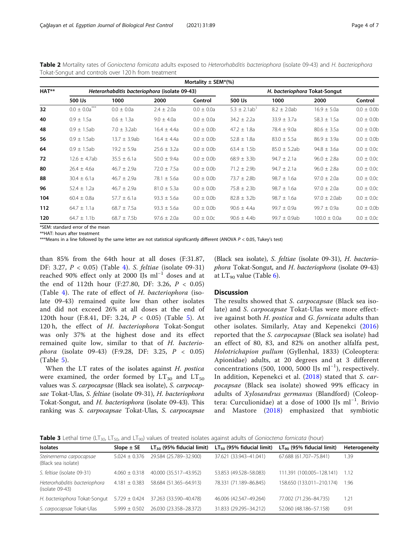|       | Mortality $\pm$ SEM*(%)     |                                               |                 |                |                              |                               |                   |                |  |  |
|-------|-----------------------------|-----------------------------------------------|-----------------|----------------|------------------------------|-------------------------------|-------------------|----------------|--|--|
| HAT** |                             | Heterorhabditis bacteriophora (isolate 09-43) |                 |                |                              | H. bacteriophora Tokat-Songut |                   |                |  |  |
|       | 500 IJs                     | 1000                                          | 2000            | Control        | 500 IJs                      | 1000                          | 2000              | Control        |  |  |
| 32    | $***$<br>$0.0 \pm 0.0a^{r}$ | $0.0 \pm 0.0a$                                | $2.4 \pm 2.0a$  | $0.0 \pm 0.0a$ | $5.3 \pm 2.1ab$ <sup>1</sup> | $8.2 \pm 2.0$ ab              | $16.9 \pm 5.0a$   | $0.0 \pm 0.0$  |  |  |
| 40    | $0.9 \pm 1.5a$              | $0.6 \pm 1.3a$                                | $9.0 \pm 4.0a$  | $0.0 \pm 0.0a$ | $34.2 \pm 2.2a$              | $33.9 \pm 3.7a$               | $58.3 \pm 1.5a$   | $0.0 \pm 0.0$  |  |  |
| 48    | $0.9 \pm 1.5$ ab            | $7.0 \pm 3.2ab$                               | $16.4 \pm 4.4a$ | $0.0 \pm 0.0$  | $47.2 \pm 1.8a$              | 78.4 $\pm$ 9.0a               | $80.6 \pm 3.5a$   | $0.0 \pm 0.0$  |  |  |
| 56    | $0.9 \pm 1.5$ ab            | $13.7 \pm 3.9ab$                              | $16.4 \pm 4.4a$ | $0.0 \pm 0.0$  | $52.8 \pm 1.8a$              | $83.0 \pm 5.5a$               | $86.9 \pm 3.9a$   | $0.0 \pm 0.0$  |  |  |
| 64    | $0.9 \pm 1.5$ ab            | $19.2 \pm 5.9a$                               | $25.6 \pm 3.2a$ | $0.0 \pm 0.0$  | $63.4 \pm 1.5b$              | $85.0 \pm 5.2ab$              | $94.8 \pm 3.6a$   | $0.0 \pm 0.0c$ |  |  |
| 72    | $12.6 \pm 4.7$ ab           | $35.5 \pm 6.1a$                               | $50.0 \pm 9.4a$ | $0.0 \pm 0.0$  | $68.9 \pm 3.3b$              | $94.7 \pm 2.1a$               | $96.0 \pm 2.8a$   | $0.0 \pm 0.0c$ |  |  |
| 80    | $26.4 \pm 4.6a$             | $46.7 \pm 2.9a$                               | $72.0 \pm 7.5a$ | $0.0 \pm 0.0$  | $71.2 \pm 2.9b$              | $94.7 \pm 2.1a$               | $96.0 \pm 2.8a$   | $0.0 \pm 0.0c$ |  |  |
| 88    | $30.4 \pm 6.1a$             | $46.7 \pm 2.9a$                               | $78.1 \pm 5.6a$ | $0.0 \pm 0.0$  | $73.7 \pm 2.8b$              | $98.7 \pm 1.6a$               | $97.0 \pm 2.0a$   | $0.0 \pm 0.0c$ |  |  |
| 96    | $52.4 \pm 1.2a$             | $46.7 \pm 2.9a$                               | $81.0 \pm 5.3a$ | $0.0 \pm 0.0$  | $75.8 \pm 2.3b$              | $98.7 \pm 1.6a$               | $97.0 \pm 2.0a$   | $0.0 \pm 0.0c$ |  |  |
| 104   | $60.4 \pm 0.8a$             | $57.7 \pm 6.1a$                               | $93.3 \pm 5.6a$ | $0.0 \pm 0.0$  | $82.8 \pm 3.2b$              | $98.7 \pm 1.6a$               | $97.0 \pm 2.0$ ab | $0.0 \pm 0.0c$ |  |  |
| 112   | $64.7 \pm 1.1a$             | $68.7 \pm 7.5a$                               | $93.3 \pm 5.6a$ | $0.0 \pm 0.0$  | $90.6 \pm 4.4a$              | $99.7 \pm 0.9a$               | $99.7 \pm 0.9a$   | $0.0 \pm 0.0$  |  |  |
| 120   | $64.7 \pm 1.1$ b            | $68.7 \pm 7.5b$                               | $97.6 \pm 2.0a$ | $0.0 \pm 0.0c$ | $90.6 \pm 4.4$ b             | $99.7 \pm 0.9ab$              | $100.0 \pm 0.0a$  | $0.0 \pm 0.0c$ |  |  |

<span id="page-3-0"></span>Table 2 Mortality rates of Gonioctena fornicata adults exposed to Heterorhabditis bacteriophora (isolate 09-43) and H. bacteriophora Tokat-Songut and controls over 120 h from treatment

\*SEM: standard error of the mean \*\*HAT: hours after treatment

\*\*\*Means in a line followed by the same letter are not statistical significantly different (ANOVA  $P < 0.05$ , Tukey's test)

than 85% from the 64th hour at all doses (F:31.87, DF: 3.27, P < 0.05) (Table [4](#page-4-0)). S. feltiae (isolate 09-31) reached 90% effect only at 2000 IJs ml−<sup>1</sup> doses and at the end of 112th hour (F:27.80, DF: 3.26,  $P < 0.05$ ) (Table [4\)](#page-4-0). The rate of effect of H. bacteriophora (isolate 09-43) remained quite low than other isolates and did not exceed 26% at all doses at the end of 120th hour (F:8.41, DF: 3.24, P < 0.05) (Table [5](#page-5-0)). At 120 h, the effect of H. bacteriophora Tokat-Songut was only 37% at the highest dose and its effect remained quite low, similar to that of H. bacteriophora (isolate 09-43) (F:9.28, DF: 3.25, P < 0.05) (Table [5](#page-5-0)).

When the LT rates of the isolates against H. postica were examined, the order formed by  $LT_{30}$  and  $LT_{50}$ values was S. carpocapsae (Black sea isolate), S. carpocapsae Tokat-Ulas, S. feltiae (isolate 09-31), H. bacteriophora Tokat-Songut, and H. bacteriophora (isolate 09-43). This ranking was S. carpocapsae Tokat-Ulas, S. carpocapsae

(Black sea isolate), S. feltiae (isolate 09-31), H. bacteriophora Tokat-Songut, and H. bacteriophora (isolate 09-43) at  $LT_{90}$  value (Table [6\)](#page-5-0).

#### **Discussion**

The results showed that S. carpocapsae (Black sea isolate) and S. carpocapsae Tokat-Ulas were more effective against both H. postica and G. fornicata adults than other isolates. Similarly, Atay and Kepenekci [\(2016](#page-6-0)) reported that the S. carpocapsae (Black sea isolate) had an effect of 80, 83, and 82% on another alfalfa pest, Holotrichapion pullum (Gyllenhal, 1833) (Coleoptera: Apionidae) adults, at 20 degrees and at 3 different concentrations (500, 1000, 5000 IJs ml−<sup>1</sup> ), respectively. In addition, Kepenekci et al. [\(2018](#page-6-0)) stated that S. carpocapsae (Black sea isolate) showed 99% efficacy in adults of Xylosandrus germanus (Blandford) (Coleoptera: Curculionidae) at a dose of 1000 IJs ml−<sup>1</sup> . Brivio and Mastore [\(2018\)](#page-6-0) emphasized that symbiotic

**Table 3** Lethal time (LT<sub>30</sub>, LT<sub>50</sub>, and LT<sub>90</sub>) values of treated isolates against adults of Gonioctena fornicata (hour)

| <b>Isolates</b>                                    | Slope $\pm$ SE    | $LT_{30}$ (95% fiducial limit) | $LT_{50}$ (95% fiducial limit) | $LT90$ (95% fiducial limit) | Heterogeneity |
|----------------------------------------------------|-------------------|--------------------------------|--------------------------------|-----------------------------|---------------|
|                                                    |                   |                                |                                |                             |               |
| Steinernema carpocapsae<br>(Black sea isolate)     | $5.024 \pm 0.376$ | 29.584 (25.789-32.900)         | 37.621 (33.943-41.041)         | 67.688 (61.707-75.841)      | 1.39          |
| S. feltiae (isolate 09-31)                         | $4.060 \pm 0.318$ | 40.000 (35.517-43.952)         | 53.853 (49.528-58.083)         | 111.391 (100.005-128.141)   | 1.12          |
| Heterorhabditis bacteriophora<br>$(isolate 09-43)$ | $4.181 + 0.383$   | 58.684 (51.365-64.913)         | 78.331 (71.189-86.845)         | 158.650 (133.011-210.174)   | 1.96          |
| H. bacteriophora Tokat-Songut                      | $5.729 \pm 0.424$ | 37.263 (33.590-40.478)         | 46.006 (42.547-49.264)         | 77.002 (71.236-84.735)      | 1.21          |
| S. carpocapsae Tokat-Ulas                          | $5.999 + 0.502$   | 26.030 (23.358-28.372)         | 31.833 (29.295-34.212)         | 52.060 (48.186-57.158)      | 0.91          |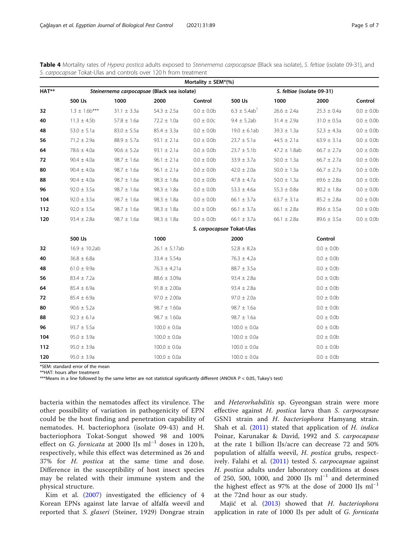<span id="page-4-0"></span>

| Table 4 Mortality rates of Hypera postica adults exposed to Steinernema carpocapsae (Black sea isolate), S. feltiae (isolate 09-31), and |  |  |  |  |
|------------------------------------------------------------------------------------------------------------------------------------------|--|--|--|--|
| S. carpocapsae Tokat-Ulas and controls over 120 h from treatment                                                                         |  |  |  |  |

| Mortality $\pm$ SEM*(%) |                   |                                             |                    |                |                           |                            |                 |               |  |
|-------------------------|-------------------|---------------------------------------------|--------------------|----------------|---------------------------|----------------------------|-----------------|---------------|--|
| HAT**                   |                   | Steinernema carpocapsae (Black sea isolate) |                    |                |                           | S. feltiae (isolate 09-31) |                 |               |  |
|                         | 500 IJs           | 1000                                        | 2000               | Control        | 500 IJs                   | 1000                       | 2000            | Control       |  |
| 32                      | $1.3 \pm 1.6b***$ | $31.1 \pm 3.3a$                             | $54.3 \pm 2.5a$    | $0.0 \pm 0.0$  | $6.3 \pm 5.4ab$           | $26.6 \pm 2.4a$            | $25.3 \pm 0.4a$ | $0.0 \pm 0.0$ |  |
| 40                      | $11.3 \pm 4.5b$   | $57.8 \pm 1.6a$                             | $72.2 \pm 1.0a$    | $0.0 \pm 0.0c$ | $9.4 \pm 5.2ab$           | $31.4 \pm 2.9a$            | $31.0 \pm 0.5a$ | $0.0 \pm 0.0$ |  |
| 48                      | $53.0 \pm 5.1a$   | $83.0 \pm 5.5a$                             | $85.4 \pm 3.3a$    | $0.0 \pm 0.0$  | $19.0 \pm 6.1$ ab         | $39.3 \pm 1.3a$            | $52.3 \pm 4.3a$ | $0.0 \pm 0.0$ |  |
| 56                      | $71.2 \pm 2.9a$   | $88.9 \pm 5.7a$                             | $93.1 \pm 2.1a$    | $0.0 \pm 0.0$  | $23.7 \pm 5.1a$           | $44.5 \pm 2.1a$            | $63.9 \pm 3.1a$ | $0.0 \pm 0.0$ |  |
| 64                      | $78.6 \pm 4.0a$   | $90.6 \pm 5.2a$                             | 93.1 $\pm$ 2.1a    | $0.0 \pm 0.0$  | $23.7 \pm 5.1b$           | $47.2 \pm 1.8ab$           | $66.7 \pm 2.7a$ | $0.0 \pm 0.0$ |  |
| 72                      | $90.4 \pm 4.0a$   | $98.7 \pm 1.6a$                             | $96.1 \pm 2.1a$    | $0.0 \pm 0.0$  | $33.9 \pm 3.7a$           | $50.0 \pm 1.3a$            | $66.7 \pm 2.7a$ | $0.0 \pm 0.0$ |  |
| 80                      | $90.4 \pm 4.0a$   | $98.7 \pm 1.6a$                             | $96.1 \pm 2.1a$    | $0.0\pm\,0.0b$ | $42.0 \pm 2.0a$           | $50.0 \pm 1.3a$            | $66.7 \pm 2.7a$ | $0.0 \pm 0.0$ |  |
| 88                      | $90.4 \pm 4.0a$   | $98.7 \pm 1.6a$                             | $98.3 \pm 1.8a$    | $0.0 \pm 0.0$  | $47.8 \pm 4.7a$           | $50.0 \pm 1.3a$            | $69.6 \pm 2.8a$ | $0.0 \pm 0.0$ |  |
| 96                      | $92.0 \pm 3.5a$   | $98.7 \pm 1.6a$                             | $98.3 \pm 1.8a$    | $0.0 \pm 0.0$  | $53.3 \pm 4.6a$           | $55.3 \pm 0.8a$            | $80.2 \pm 1.8a$ | $0.0 \pm 0.0$ |  |
| 104                     | $92.0 \pm 3.5a$   | $98.7 \pm 1.6a$                             | 98.3 $\pm$ 1.8a    | $0.0 \pm 0.0$  | $66.1 \pm 3.7a$           | $63.7 \pm 3.1a$            | $85.2 \pm 2.8a$ | $0.0 \pm 0.0$ |  |
| 112                     | $92.0 \pm 3.5a$   | $98.7 \pm 1.6a$                             | $98.3 \pm 1.8a$    | $0.0 \pm 0.0$  | 66.1 $\pm$ 3.7a           | 66.1 $\pm$ 2.8a            | $89.6 \pm 3.5a$ | $0.0 \pm 0.0$ |  |
| 120                     | $93.4 \pm 2.8a$   | $98.7 \pm 1.6a$                             | $98.3 \pm 1.8a$    | $0.0 \pm 0.0$  | $66.1 \pm 3.7a$           | 66.1 $\pm$ 2.8a            | $89.6 \pm 3.5a$ | $0.0 \pm 0.0$ |  |
|                         |                   |                                             |                    |                | S. carpocapsae Tokat-Ulas |                            |                 |               |  |
|                         | 500 IJs           |                                             | 1000               |                | 2000                      |                            | Control         |               |  |
| 32                      | $16.9 \pm 10.2ab$ |                                             | $26.1 \pm 5.17$ ab |                | $52.8 \pm 8.2a$           |                            | $0.0 \pm 0.0$   |               |  |
| 40                      | $36.8 \pm 6.8a$   |                                             | $33.4 \pm 5.54a$   |                | $76.3 \pm 4.2a$           |                            | $0.0 \pm 0.0$   |               |  |
| 48                      | $61.0 \pm 9.9a$   |                                             | $76.3 \pm 4.21a$   |                | $88.7 \pm 3.5a$           |                            | $0.0 \pm 0.0$   |               |  |
| 56                      | $83.4 \pm 7.2a$   |                                             | $88.6 \pm 3.09a$   |                | $93.4 \pm 2.8a$           |                            | $0.0 \pm 0.0$   |               |  |
| 64                      | $85.4 \pm 6.9a$   |                                             | $91.8 \pm 2.00a$   |                | $93.4 \pm 2.8a$           |                            | $0.0 \pm 0.0$   |               |  |
| 72                      | $85.4 \pm 6.9a$   |                                             | $97.0 \pm 2.00a$   |                | $97.0 \pm 2.0a$           |                            | $0.0 \pm 0.0$   |               |  |
| 80                      | $90.6 \pm 5.2a$   |                                             | $98.7 \pm 1.60a$   |                | $98.7 \pm 1.6a$           |                            | $0.0 \pm 0.0$   |               |  |
| 88                      | $92.3 \pm 6.1a$   |                                             | $98.7 \pm 1.60a$   |                | $98.7 \pm 1.6a$           |                            | $0.0 \pm 0.0$   |               |  |
| 96                      | $93.7 \pm 5.5a$   |                                             | $100.0 \pm 0.0a$   |                | $100.0 \pm 0.0a$          |                            | $0.0 \pm 0.0$   |               |  |
| 104                     | $95.0 \pm 3.9a$   |                                             | $100.0 \pm 0.0a$   |                | $100.0 \pm 0.0a$          |                            | $0.0 \pm 0.0$   |               |  |
| 112                     | $95.0 \pm 3.9a$   |                                             | $100.0 \pm 0.0a$   |                | $100.0 \pm 0.0a$          |                            | $0.0 \pm 0.0$   |               |  |
| 120                     | $95.0 \pm 3.9a$   |                                             | $100.0 \pm 0.0a$   |                | $100.0 \pm 0.0a$          |                            | $0.0 \pm 0.0$   |               |  |

\*SEM: standard error of the mean

\*\*HAT: hours after treatment

\*\*\*Means in a line followed by the same letter are not statistical significantly different (ANOVA P < 0.05, Tukey's test)

bacteria within the nematodes affect its virulence. The other possibility of variation in pathogenicity of EPN could be the host finding and penetration capability of nematodes. H. bacteriophora (isolate 09-43) and H. bacteriophora Tokat-Songut showed 98 and 100% effect on G. fornicata at 2000 IJs ml<sup>-1</sup> doses in 120 h, respectively, while this effect was determined as 26 and 37% for H. postica at the same time and dose. Difference in the susceptibility of host insect species may be related with their immune system and the physical structure.

Kim et al. [\(2007](#page-6-0)) investigated the efficiency of 4 Korean EPNs against late larvae of alfalfa weevil and reported that S. glaseri (Steiner, 1929) Dongrae strain and Heterorhabditis sp. Gyeongsan strain were more effective against H. postica larva than S. carpocapsae GSN1 strain and H. bacteriophora Hamyang strain. Shah et al.  $(2011)$  $(2011)$  stated that application of H. indica Poinar, Karunakar & David, 1992 and S. carpocapase at the rate 1 billion IJs/acre can decrease 72 and 50% population of alfalfa weevil, H. postica grubs, respect-ively. Falahi et al. [\(2011](#page-6-0)) tested S. carpocapsae against H. postica adults under laboratory conditions at doses of 250, 500, 1000, and 2000 IJs ml−<sup>1</sup> and determined the highest effect as 97% at the dose of 2000 IJs  $ml^{-1}$ at the 72nd hour as our study.

Majić et al. ([2013\)](#page-6-0) showed that H. bacteriophora application in rate of 1000 IJs per adult of G. fornicata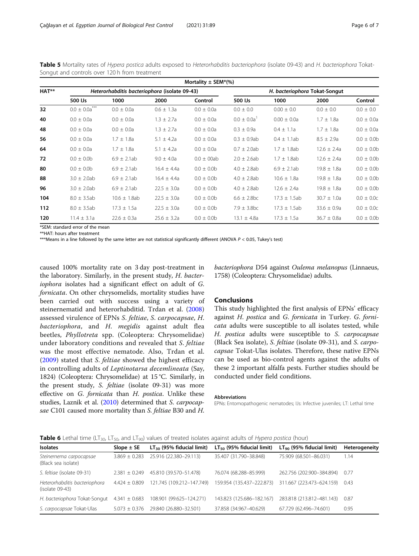|       | Mortality $\pm$ SEM*(%) |                                               |                 |                 |                    |                               |                 |                |  |  |
|-------|-------------------------|-----------------------------------------------|-----------------|-----------------|--------------------|-------------------------------|-----------------|----------------|--|--|
| HAT** |                         | Heterorhabditis bacteriophora (isolate 09-43) |                 |                 |                    | H. bacteriophora Tokat-Songut |                 |                |  |  |
|       | 500 IJs                 | 1000                                          | 2000            | Control         | 500 IJs            | 1000                          | 2000            | Control        |  |  |
| 32    | $0.0 \pm 0.0a^{*}$      | $0.0 \pm 0.0a$                                | $0.6 \pm 1.3a$  | $0.0 \pm 0.0a$  | $0.0 \pm 0.0$      | $0.00 \pm 0.0$                | $0.0 \pm 0.0$   | $0.0 \pm 0.0$  |  |  |
| 40    | $0.0 \pm 0.0a$          | $0.0 \pm 0.0a$                                | $1.3 \pm 2.7a$  | $0.0 \pm 0.0a$  | $0.0 \pm 0.0a^{1}$ | $0.00 \pm 0.0a$               | $1.7 \pm 1.8a$  | $0.0 \pm 0.0a$ |  |  |
| 48    | $0.0 \pm 0.0a$          | $0.0 \pm 0.0a$                                | $1.3 \pm 2.7a$  | $0.0 \pm 0.0a$  | $0.3 \pm 0.9a$     | $0.4 \pm 1.1a$                | $1.7 \pm 1.8a$  | $0.0 \pm 0.0a$ |  |  |
| 56    | $0.0 \pm 0.0a$          | $1.7 \pm 1.8a$                                | $5.1 \pm 4.2a$  | $0.0 \pm 0.0a$  | $0.3 \pm 0.9$ ab   | $0.4 \pm 1.1$ ab              | $8.5 \pm 2.9a$  | $0.0 \pm 0.0$  |  |  |
| 64    | $0.0 \pm 0.0a$          | $1.7 \pm 1.8a$                                | $5.1 \pm 4.2a$  | $0.0 \pm 0.0a$  | $0.7 \pm 2.0$ ab   | $1.7 \pm 1.8$ ab              | $12.6 \pm 2.4a$ | $0.0 \pm 0.0$  |  |  |
| 72    | $0.0 \pm 0.0$           | $6.9 \pm 2.1$ ab                              | $9.0 \pm 4.0a$  | $0.0 \pm 00$ ab | $2.0 \pm 2.6$ ab   | $1.7 \pm 1.8$ ab              | $12.6 \pm 2.4a$ | $0.0 \pm 0.0$  |  |  |
| 80    | $0.0 \pm 0.0$           | $6.9 \pm 2.1$ ab                              | $16.4 \pm 4.4a$ | $0.0 \pm 0.0$   | $4.0 \pm 2.8$ ab   | $6.9 \pm 2.1$ ab              | $19.8 \pm 1.8a$ | $0.0 \pm 0.0$  |  |  |
| 88    | $3.0 \pm 2.0$ ab        | $6.9 \pm 2.1$ ab                              | $16.4 \pm 4.4a$ | $0.0 \pm 0.0$   | $4.0 \pm 2.8$ ab   | $10.6 \pm 1.8a$               | $19.8 \pm 1.8a$ | $0.0 \pm 0.0$  |  |  |
| 96    | $3.0 \pm 2.0$ ab        | $6.9 \pm 2.1$ ab                              | $22.5 \pm 3.0a$ | $0.0 \pm 0.0$   | $4.0 \pm 2.8$ ab   | $12.6 \pm 2.4a$               | $19.8 \pm 1.8a$ | $0.0 \pm 0.0$  |  |  |
| 104   | $8.0 \pm 3.5$ ab        | $10.6 \pm 1.8$ ab                             | $22.5 \pm 3.0a$ | $0.0 \pm 0.0$   | $6.6 \pm 2.8$ bc   | $17.3 \pm 1.5$ ab             | $30.7 \pm 1.0a$ | $0.0 \pm 0.0c$ |  |  |
| 112   | $8.0 \pm 3.5$ ab        | $17.3 \pm 1.5a$                               | $22.5 \pm 3.0a$ | $0.0 \pm 0.0$   | $7.9 \pm 3.8$ bc   | $17.3 \pm 1.5$ ab             | $33.6 \pm 0.9a$ | $0.0 \pm 0.0c$ |  |  |
| 120   | $11.4 \pm 3.1a$         | $22.6 \pm 0.3a$                               | $25.6 \pm 3.2a$ | $0.0 \pm 0.0$   | $13.1 \pm 4.8a$    | $17.3 \pm 1.5a$               | $36.7 \pm 0.8a$ | $0.0 \pm 0.0$  |  |  |

<span id="page-5-0"></span>Table 5 Mortality rates of Hypera postica adults exposed to Heterorhabditis bacteriophora (isolate 09-43) and H. bacteriophora Tokat-Songut and controls over 120 h from treatment

\*SEM: standard error of the mean \*\*HAT: hours after treatment

\*\*\*Means in a line followed by the same letter are not statistical significantly different (ANOVA  $P < 0.05$ , Tukey's test)

caused 100% mortality rate on 3 day post-treatment in the laboratory. Similarly, in the present study, H. bacteriophora isolates had a significant effect on adult of G. fornicata. On other chrysomelids, mortality studies have been carried out with success using a variety of steinernematid and heterorhabditid. Trdan et al. ([2008](#page-6-0)) assessed virulence of EPNs S. feltiae, S. carpocapsae, H. bacteriophora, and H. megidis against adult flea beetles, Phyllotreta spp. (Coleoptera: Chrysomelidae) under laboratory conditions and revealed that S. feltiae was the most effective nematode. Also, Trdan et al. ([2009](#page-6-0)) stated that S. feltiae showed the highest efficacy in controlling adults of Leptinotarsa decemlineata (Say, 1824) (Coleoptera: Chrysomelidae) at 15 °C. Similarly, in the present study, S. feltiae (isolate 09-31) was more effective on G. fornicata than H. postica. Unlike these studies, Laznik et al. [\(2010\)](#page-6-0) determined that S. carpocapsae C101 caused more mortality than S. feltiae B30 and H. bacteriophora D54 against Oulema melanopus (Linnaeus, 1758) (Coleoptera: Chrysomelidae) adults.

#### **Conclusions**

This study highlighted the first analysis of EPNs' efficacy against H. postica and G. fornicata in Turkey. G. fornicata adults were susceptible to all isolates tested, while H. postica adults were susceptible to S. carpocapsae (Black Sea isolate), S. feltiae (isolate 09-31), and S. carpocapsae Tokat-Ulas isolates. Therefore, these native EPNs can be used as bio-control agents against the adults of these 2 important alfalfa pests. Further studies should be conducted under field conditions.

#### Abbreviations

EPNs: Entomopathogenic nematodes; IJs: Infective juveniles; LT: Lethal time

| <b>Table 6</b> Lethal time (LT <sub>30</sub> , LT <sub>50</sub> , and LT <sub>90</sub> ) values of treated isolates against adults of <i>Hypera postica</i> (hour) |  |  |  |
|--------------------------------------------------------------------------------------------------------------------------------------------------------------------|--|--|--|
|--------------------------------------------------------------------------------------------------------------------------------------------------------------------|--|--|--|

| <b>Isolates</b>                                    | Slope $\pm$ SE    | $LT_{30}$ (95% fiducial limit) | $LT_{50}$ (95% fiducial limit) | $LT90$ (95% fiducial limit) | Heterogeneity |
|----------------------------------------------------|-------------------|--------------------------------|--------------------------------|-----------------------------|---------------|
| Steinernema carpocapsae<br>(Black sea isolate)     | $3.869 \pm 0.283$ | 25.916 (22.380-29.113)         | 35.407 (31.790-38.848)         | 75.909 (68.501-86.031)      | 1.14          |
| S. feltiae (isolate 09-31)                         | $2.381 \pm 0.249$ | 45.810 (39.570-51.478)         | 76.074 (68.288-85.999)         | 262.756 (202.900-384.894)   | 0.77          |
| Heterorhabditis bacteriophora<br>$(isolate 09-43)$ | $4.424 + 0.809$   | 121.745 (109.212-147.749)      | 159.954 (135.437-222.873)      | 311.667 (223.473-624.159)   | 0.43          |
| H. bacteriophora Tokat-Songut $4.341 \pm 0.683$    |                   | 108.901 (99.625-124.271)       | 143.823 (125.686-182.167)      | 283.818 (213.812-481.143)   | 0.87          |
| S. carpocapsae Tokat-Ulas                          | $5.073 \pm 0.376$ | 29.840 (26.880-32.501)         | 37.858 (34.967-40.629)         | 67.729 (62.496-74.601)      | 0.95          |
|                                                    |                   |                                |                                |                             |               |